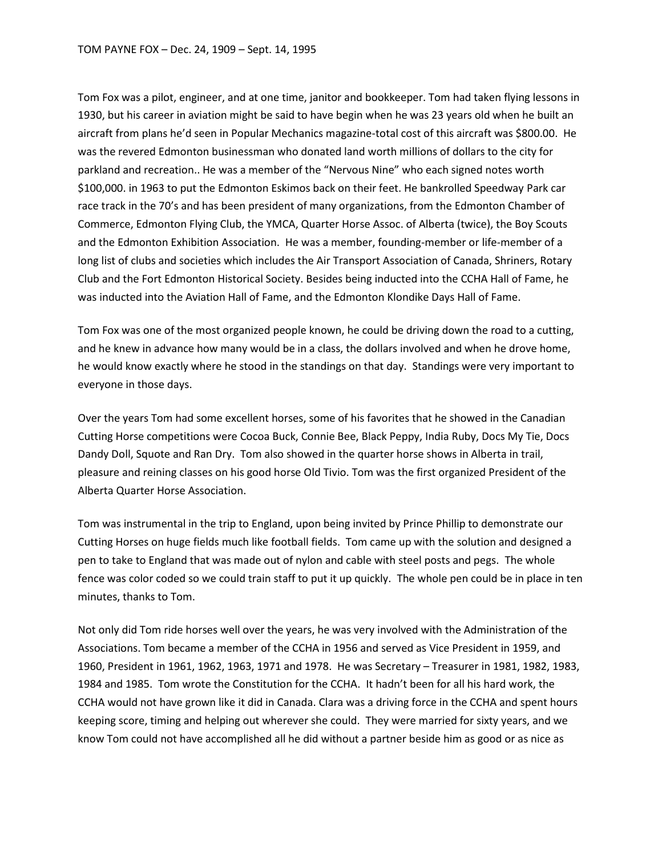Tom Fox was a pilot, engineer, and at one time, janitor and bookkeeper. Tom had taken flying lessons in 1930, but his career in aviation might be said to have begin when he was 23 years old when he built an aircraft from plans he'd seen in Popular Mechanics magazine-total cost of this aircraft was \$800.00. He was the revered Edmonton businessman who donated land worth millions of dollars to the city for parkland and recreation.. He was a member of the "Nervous Nine" who each signed notes worth \$100,000. in 1963 to put the Edmonton Eskimos back on their feet. He bankrolled Speedway Park car race track in the 70's and has been president of many organizations, from the Edmonton Chamber of Commerce, Edmonton Flying Club, the YMCA, Quarter Horse Assoc. of Alberta (twice), the Boy Scouts and the Edmonton Exhibition Association. He was a member, founding-member or life-member of a long list of clubs and societies which includes the Air Transport Association of Canada, Shriners, Rotary Club and the Fort Edmonton Historical Society. Besides being inducted into the CCHA Hall of Fame, he was inducted into the Aviation Hall of Fame, and the Edmonton Klondike Days Hall of Fame.

Tom Fox was one of the most organized people known, he could be driving down the road to a cutting, and he knew in advance how many would be in a class, the dollars involved and when he drove home, he would know exactly where he stood in the standings on that day. Standings were very important to everyone in those days.

Over the years Tom had some excellent horses, some of his favorites that he showed in the Canadian Cutting Horse competitions were Cocoa Buck, Connie Bee, Black Peppy, India Ruby, Docs My Tie, Docs Dandy Doll, Squote and Ran Dry. Tom also showed in the quarter horse shows in Alberta in trail, pleasure and reining classes on his good horse Old Tivio. Tom was the first organized President of the Alberta Quarter Horse Association.

Tom was instrumental in the trip to England, upon being invited by Prince Phillip to demonstrate our Cutting Horses on huge fields much like football fields. Tom came up with the solution and designed a pen to take to England that was made out of nylon and cable with steel posts and pegs. The whole fence was color coded so we could train staff to put it up quickly. The whole pen could be in place in ten minutes, thanks to Tom.

Not only did Tom ride horses well over the years, he was very involved with the Administration of the Associations. Tom became a member of the CCHA in 1956 and served as Vice President in 1959, and 1960, President in 1961, 1962, 1963, 1971 and 1978. He was Secretary – Treasurer in 1981, 1982, 1983, 1984 and 1985. Tom wrote the Constitution for the CCHA. It hadn't been for all his hard work, the CCHA would not have grown like it did in Canada. Clara was a driving force in the CCHA and spent hours keeping score, timing and helping out wherever she could. They were married for sixty years, and we know Tom could not have accomplished all he did without a partner beside him as good or as nice as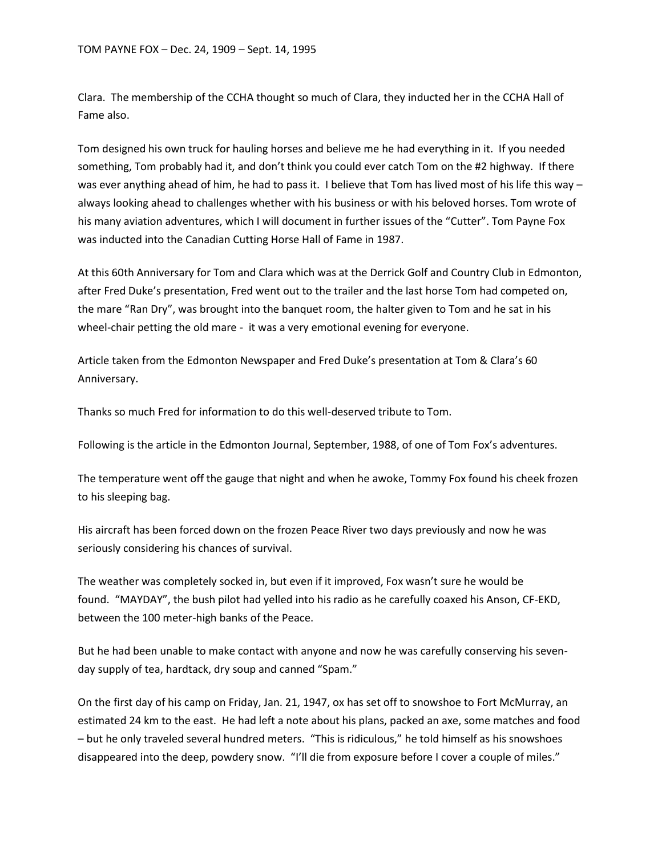Clara. The membership of the CCHA thought so much of Clara, they inducted her in the CCHA Hall of Fame also.

Tom designed his own truck for hauling horses and believe me he had everything in it. If you needed something, Tom probably had it, and don't think you could ever catch Tom on the #2 highway. If there was ever anything ahead of him, he had to pass it. I believe that Tom has lived most of his life this way – always looking ahead to challenges whether with his business or with his beloved horses. Tom wrote of his many aviation adventures, which I will document in further issues of the "Cutter". Tom Payne Fox was inducted into the Canadian Cutting Horse Hall of Fame in 1987.

At this 60th Anniversary for Tom and Clara which was at the Derrick Golf and Country Club in Edmonton, after Fred Duke's presentation, Fred went out to the trailer and the last horse Tom had competed on, the mare "Ran Dry", was brought into the banquet room, the halter given to Tom and he sat in his wheel-chair petting the old mare - it was a very emotional evening for everyone.

Article taken from the Edmonton Newspaper and Fred Duke's presentation at Tom & Clara's 60 Anniversary.

Thanks so much Fred for information to do this well-deserved tribute to Tom.

Following is the article in the Edmonton Journal, September, 1988, of one of Tom Fox's adventures.

The temperature went off the gauge that night and when he awoke, Tommy Fox found his cheek frozen to his sleeping bag.

His aircraft has been forced down on the frozen Peace River two days previously and now he was seriously considering his chances of survival.

The weather was completely socked in, but even if it improved, Fox wasn't sure he would be found. "MAYDAY", the bush pilot had yelled into his radio as he carefully coaxed his Anson, CF-EKD, between the 100 meter-high banks of the Peace.

But he had been unable to make contact with anyone and now he was carefully conserving his sevenday supply of tea, hardtack, dry soup and canned "Spam."

On the first day of his camp on Friday, Jan. 21, 1947, ox has set off to snowshoe to Fort McMurray, an estimated 24 km to the east. He had left a note about his plans, packed an axe, some matches and food – but he only traveled several hundred meters. "This is ridiculous," he told himself as his snowshoes disappeared into the deep, powdery snow. "I'll die from exposure before I cover a couple of miles."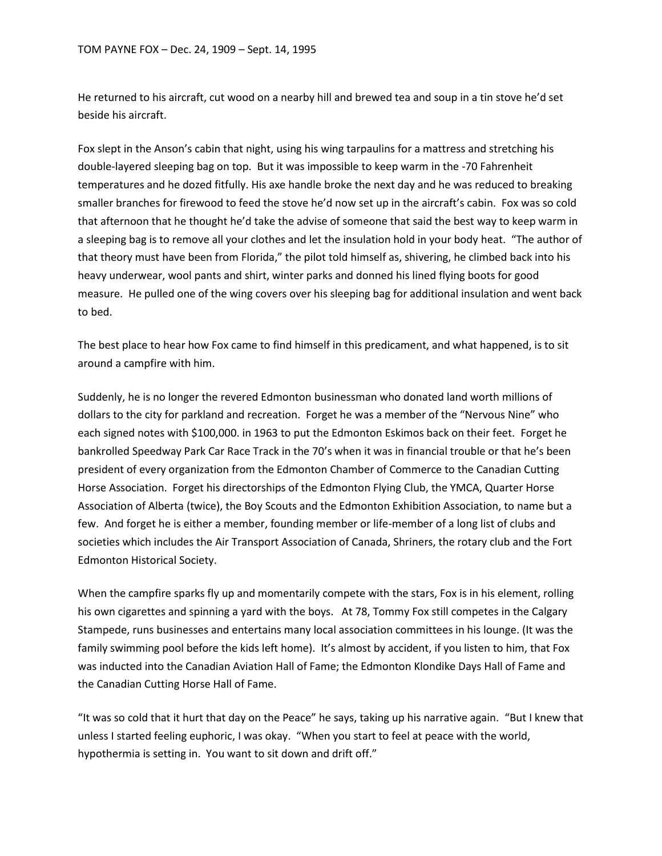He returned to his aircraft, cut wood on a nearby hill and brewed tea and soup in a tin stove he'd set beside his aircraft.

Fox slept in the Anson's cabin that night, using his wing tarpaulins for a mattress and stretching his double-layered sleeping bag on top. But it was impossible to keep warm in the -70 Fahrenheit temperatures and he dozed fitfully. His axe handle broke the next day and he was reduced to breaking smaller branches for firewood to feed the stove he'd now set up in the aircraft's cabin. Fox was so cold that afternoon that he thought he'd take the advise of someone that said the best way to keep warm in a sleeping bag is to remove all your clothes and let the insulation hold in your body heat. "The author of that theory must have been from Florida," the pilot told himself as, shivering, he climbed back into his heavy underwear, wool pants and shirt, winter parks and donned his lined flying boots for good measure. He pulled one of the wing covers over his sleeping bag for additional insulation and went back to bed.

The best place to hear how Fox came to find himself in this predicament, and what happened, is to sit around a campfire with him.

Suddenly, he is no longer the revered Edmonton businessman who donated land worth millions of dollars to the city for parkland and recreation. Forget he was a member of the "Nervous Nine" who each signed notes with \$100,000. in 1963 to put the Edmonton Eskimos back on their feet. Forget he bankrolled Speedway Park Car Race Track in the 70's when it was in financial trouble or that he's been president of every organization from the Edmonton Chamber of Commerce to the Canadian Cutting Horse Association. Forget his directorships of the Edmonton Flying Club, the YMCA, Quarter Horse Association of Alberta (twice), the Boy Scouts and the Edmonton Exhibition Association, to name but a few. And forget he is either a member, founding member or life-member of a long list of clubs and societies which includes the Air Transport Association of Canada, Shriners, the rotary club and the Fort Edmonton Historical Society.

When the campfire sparks fly up and momentarily compete with the stars, Fox is in his element, rolling his own cigarettes and spinning a yard with the boys. At 78, Tommy Fox still competes in the Calgary Stampede, runs businesses and entertains many local association committees in his lounge. (It was the family swimming pool before the kids left home). It's almost by accident, if you listen to him, that Fox was inducted into the Canadian Aviation Hall of Fame; the Edmonton Klondike Days Hall of Fame and the Canadian Cutting Horse Hall of Fame.

"It was so cold that it hurt that day on the Peace" he says, taking up his narrative again. "But I knew that unless I started feeling euphoric, I was okay. "When you start to feel at peace with the world, hypothermia is setting in. You want to sit down and drift off."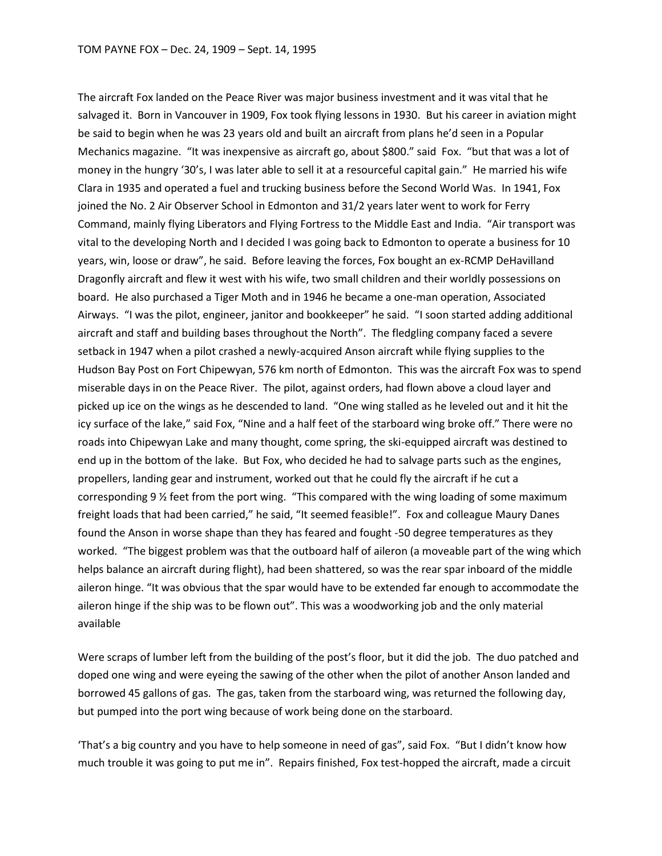The aircraft Fox landed on the Peace River was major business investment and it was vital that he salvaged it. Born in Vancouver in 1909, Fox took flying lessons in 1930. But his career in aviation might be said to begin when he was 23 years old and built an aircraft from plans he'd seen in a Popular Mechanics magazine. "It was inexpensive as aircraft go, about \$800." said Fox. "but that was a lot of money in the hungry '30's, I was later able to sell it at a resourceful capital gain." He married his wife Clara in 1935 and operated a fuel and trucking business before the Second World Was. In 1941, Fox joined the No. 2 Air Observer School in Edmonton and 31/2 years later went to work for Ferry Command, mainly flying Liberators and Flying Fortress to the Middle East and India. "Air transport was vital to the developing North and I decided I was going back to Edmonton to operate a business for 10 years, win, loose or draw", he said. Before leaving the forces, Fox bought an ex-RCMP DeHavilland Dragonfly aircraft and flew it west with his wife, two small children and their worldly possessions on board. He also purchased a Tiger Moth and in 1946 he became a one-man operation, Associated Airways. "I was the pilot, engineer, janitor and bookkeeper" he said. "I soon started adding additional aircraft and staff and building bases throughout the North". The fledgling company faced a severe setback in 1947 when a pilot crashed a newly-acquired Anson aircraft while flying supplies to the Hudson Bay Post on Fort Chipewyan, 576 km north of Edmonton. This was the aircraft Fox was to spend miserable days in on the Peace River. The pilot, against orders, had flown above a cloud layer and picked up ice on the wings as he descended to land. "One wing stalled as he leveled out and it hit the icy surface of the lake," said Fox, "Nine and a half feet of the starboard wing broke off." There were no roads into Chipewyan Lake and many thought, come spring, the ski-equipped aircraft was destined to end up in the bottom of the lake. But Fox, who decided he had to salvage parts such as the engines, propellers, landing gear and instrument, worked out that he could fly the aircraft if he cut a corresponding 9 ½ feet from the port wing. "This compared with the wing loading of some maximum freight loads that had been carried," he said, "It seemed feasible!". Fox and colleague Maury Danes found the Anson in worse shape than they has feared and fought -50 degree temperatures as they worked. "The biggest problem was that the outboard half of aileron (a moveable part of the wing which helps balance an aircraft during flight), had been shattered, so was the rear spar inboard of the middle aileron hinge. "It was obvious that the spar would have to be extended far enough to accommodate the aileron hinge if the ship was to be flown out". This was a woodworking job and the only material available

Were scraps of lumber left from the building of the post's floor, but it did the job. The duo patched and doped one wing and were eyeing the sawing of the other when the pilot of another Anson landed and borrowed 45 gallons of gas. The gas, taken from the starboard wing, was returned the following day, but pumped into the port wing because of work being done on the starboard.

'That's a big country and you have to help someone in need of gas", said Fox. "But I didn't know how much trouble it was going to put me in". Repairs finished, Fox test-hopped the aircraft, made a circuit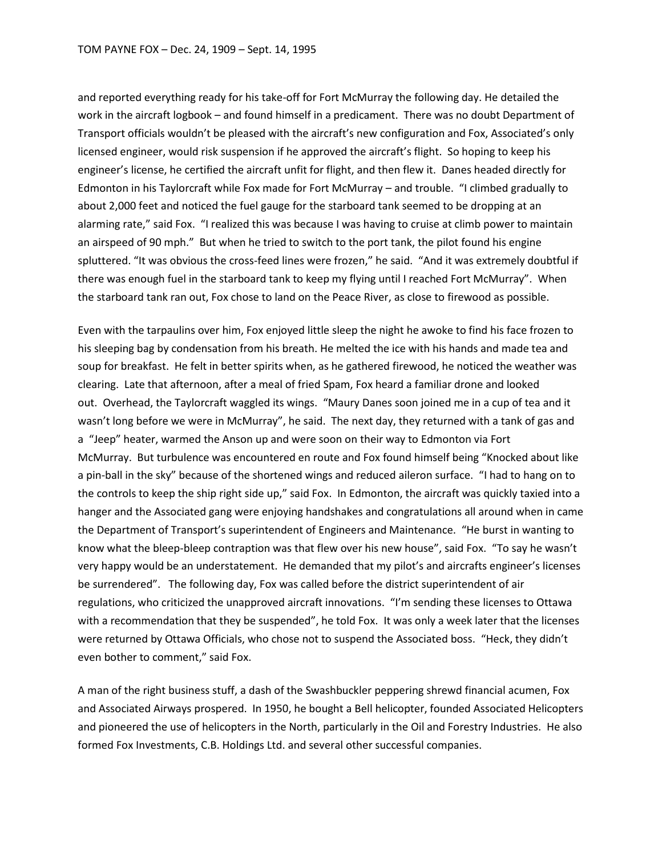and reported everything ready for his take-off for Fort McMurray the following day. He detailed the work in the aircraft logbook – and found himself in a predicament. There was no doubt Department of Transport officials wouldn't be pleased with the aircraft's new configuration and Fox, Associated's only licensed engineer, would risk suspension if he approved the aircraft's flight. So hoping to keep his engineer's license, he certified the aircraft unfit for flight, and then flew it. Danes headed directly for Edmonton in his Taylorcraft while Fox made for Fort McMurray – and trouble. "I climbed gradually to about 2,000 feet and noticed the fuel gauge for the starboard tank seemed to be dropping at an alarming rate," said Fox. "I realized this was because I was having to cruise at climb power to maintain an airspeed of 90 mph." But when he tried to switch to the port tank, the pilot found his engine spluttered. "It was obvious the cross-feed lines were frozen," he said. "And it was extremely doubtful if there was enough fuel in the starboard tank to keep my flying until I reached Fort McMurray". When the starboard tank ran out, Fox chose to land on the Peace River, as close to firewood as possible.

Even with the tarpaulins over him, Fox enjoyed little sleep the night he awoke to find his face frozen to his sleeping bag by condensation from his breath. He melted the ice with his hands and made tea and soup for breakfast. He felt in better spirits when, as he gathered firewood, he noticed the weather was clearing. Late that afternoon, after a meal of fried Spam, Fox heard a familiar drone and looked out. Overhead, the Taylorcraft waggled its wings. "Maury Danes soon joined me in a cup of tea and it wasn't long before we were in McMurray", he said. The next day, they returned with a tank of gas and a "Jeep" heater, warmed the Anson up and were soon on their way to Edmonton via Fort McMurray. But turbulence was encountered en route and Fox found himself being "Knocked about like a pin-ball in the sky" because of the shortened wings and reduced aileron surface. "I had to hang on to the controls to keep the ship right side up," said Fox. In Edmonton, the aircraft was quickly taxied into a hanger and the Associated gang were enjoying handshakes and congratulations all around when in came the Department of Transport's superintendent of Engineers and Maintenance. "He burst in wanting to know what the bleep-bleep contraption was that flew over his new house", said Fox. "To say he wasn't very happy would be an understatement. He demanded that my pilot's and aircrafts engineer's licenses be surrendered". The following day, Fox was called before the district superintendent of air regulations, who criticized the unapproved aircraft innovations. "I'm sending these licenses to Ottawa with a recommendation that they be suspended", he told Fox. It was only a week later that the licenses were returned by Ottawa Officials, who chose not to suspend the Associated boss. "Heck, they didn't even bother to comment," said Fox.

A man of the right business stuff, a dash of the Swashbuckler peppering shrewd financial acumen, Fox and Associated Airways prospered. In 1950, he bought a Bell helicopter, founded Associated Helicopters and pioneered the use of helicopters in the North, particularly in the Oil and Forestry Industries. He also formed Fox Investments, C.B. Holdings Ltd. and several other successful companies.